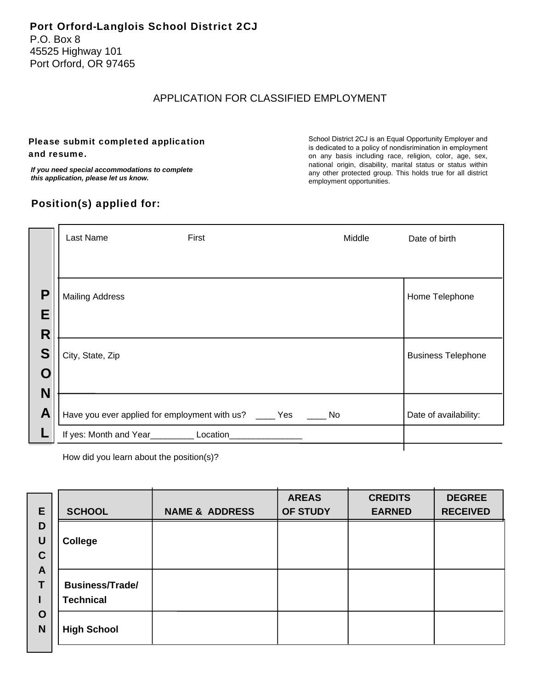## APPLICATION FOR CLASSIFIED EMPLOYMENT

### Please submit completed application and resume.

*If you need special accommodations to complete this application, please let us know.*

## Position(s) applied for:

School District 2CJ is an Equal Opportunity Employer and is dedicated to a policy of nondisrimination in employment on any basis including race, religion, color, age, sex, national origin, disability, marital status or status within any other protected group. This holds true for all district employment opportunities.

| Home Telephone            |
|---------------------------|
|                           |
|                           |
| <b>Business Telephone</b> |
|                           |
| Date of availability:     |
|                           |
|                           |

How did you learn about the position(s)?

| E                       | <b>SCHOOL</b>                              | <b>NAME &amp; ADDRESS</b> | <b>AREAS</b><br>OF STUDY | <b>CREDITS</b><br><b>EARNED</b> | <b>DEGREE</b><br><b>RECEIVED</b> |
|-------------------------|--------------------------------------------|---------------------------|--------------------------|---------------------------------|----------------------------------|
| D<br>U<br>$\mathbf C$   | <b>College</b>                             |                           |                          |                                 |                                  |
| $\mathbf{A}$<br>т       | <b>Business/Trade/</b><br><b>Technical</b> |                           |                          |                                 |                                  |
| $\mathbf O$<br><b>N</b> | <b>High School</b>                         |                           |                          |                                 |                                  |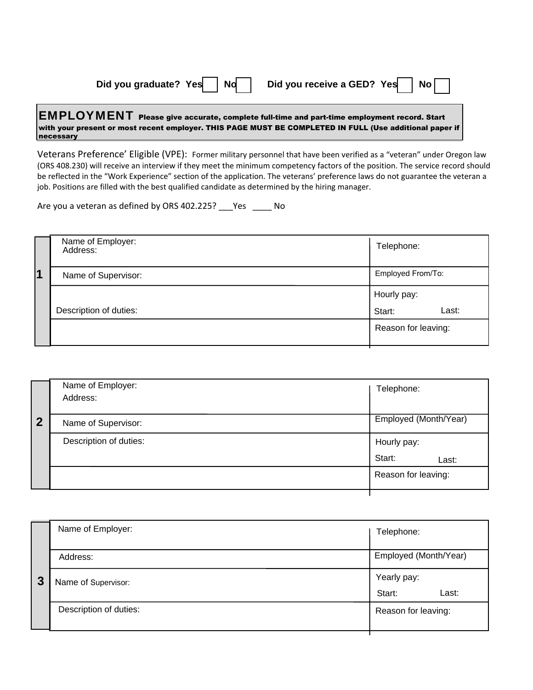| Did you graduate? Yes | <b>Nd</b> | Did you receive a GED? Yes |  | ' No i |  |
|-----------------------|-----------|----------------------------|--|--------|--|
|-----------------------|-----------|----------------------------|--|--------|--|

#### EMPLOYMENT Please give accurate, complete full-time and part-time employment record. Start with your present or most recent employer. THIS PAGE MUST BE COMPLETED IN FULL (Use additional paper if necessary

Veterans Preference' Eligible (VPE): Former military personnel that have been verified as a "veteran" under Oregon law (ORS 408.230) will receive an interview if they meet the minimum competency factors of the position. The service record should be reflected in the "Work Experience" section of the application. The veterans' preference laws do not guarantee the veteran a job. Positions are filled with the best qualified candidate as determined by the hiring manager.

Are you a veteran as defined by ORS 402.225? \_\_\_ Yes \_\_\_\_\_ No

|         | Name of Employer:<br>Address: | Telephone:          |
|---------|-------------------------------|---------------------|
| $\vert$ | Name of Supervisor:           | Employed From/To:   |
|         |                               | Hourly pay:         |
|         | Description of duties:        | Last:<br>Start:     |
|         |                               | Reason for leaving: |

|                         | Name of Employer:<br>Address: | Telephone:            |
|-------------------------|-------------------------------|-----------------------|
| $\overline{\mathbf{2}}$ | Name of Supervisor:           | Employed (Month/Year) |
|                         | Description of duties:        | Hourly pay:           |
|                         |                               | Start:<br>Last:       |
|                         |                               | Reason for leaving:   |
|                         |                               |                       |

| 3 | Name of Employer:      | Telephone:            |
|---|------------------------|-----------------------|
|   | Address:               | Employed (Month/Year) |
|   | Name of Supervisor:    | Yearly pay:           |
|   |                        | Last:<br>Start:       |
|   | Description of duties: | Reason for leaving:   |
|   |                        |                       |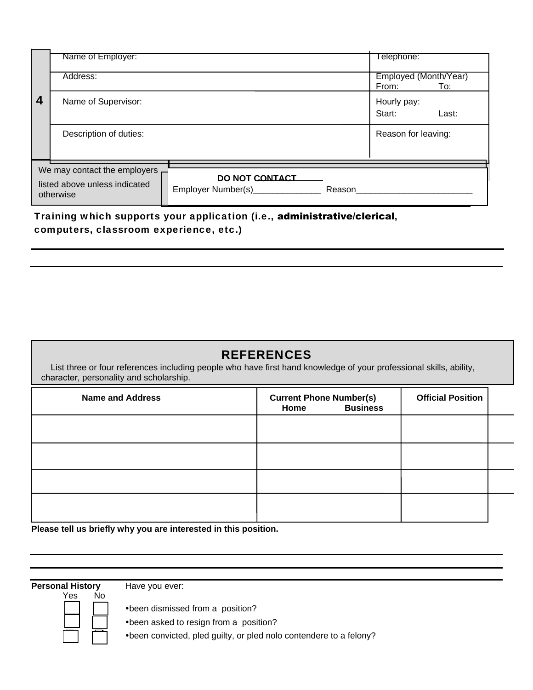|                                                                            | Name of Employer:      |                                                               | Telephone:                            |
|----------------------------------------------------------------------------|------------------------|---------------------------------------------------------------|---------------------------------------|
|                                                                            | Address:               |                                                               | Employed (Month/Year)<br>From:<br>To: |
| 4                                                                          | Name of Supervisor:    |                                                               | Hourly pay:<br>Start:<br>Last:        |
|                                                                            | Description of duties: |                                                               | Reason for leaving:                   |
|                                                                            |                        |                                                               |                                       |
| We may contact the employers<br>listed above unless indicated<br>otherwise |                        | DO NOT CONTACT<br>Employer Number(s)_______________<br>Reason |                                       |

Training which supports your application (i.e., administrative/clerical, computers, classroom experience, etc.)

# REFERENCES

 List three or four references including people who have first hand knowledge of your professional skills, ability, character, personality and scholarship.

| <b>Name and Address</b> | <b>Current Phone Number(s)</b><br><b>Business</b><br>Home | <b>Official Position</b> |  |
|-------------------------|-----------------------------------------------------------|--------------------------|--|
|                         |                                                           |                          |  |
|                         |                                                           |                          |  |
|                         |                                                           |                          |  |
|                         |                                                           |                          |  |

**Please tell us briefly why you are interested in this position.** 

**Personal History** Have you ever:



• been dismissed from a position?

• been asked to resign from a position?

• been convicted, pled guilty, or pled nolo contendere to a felony?